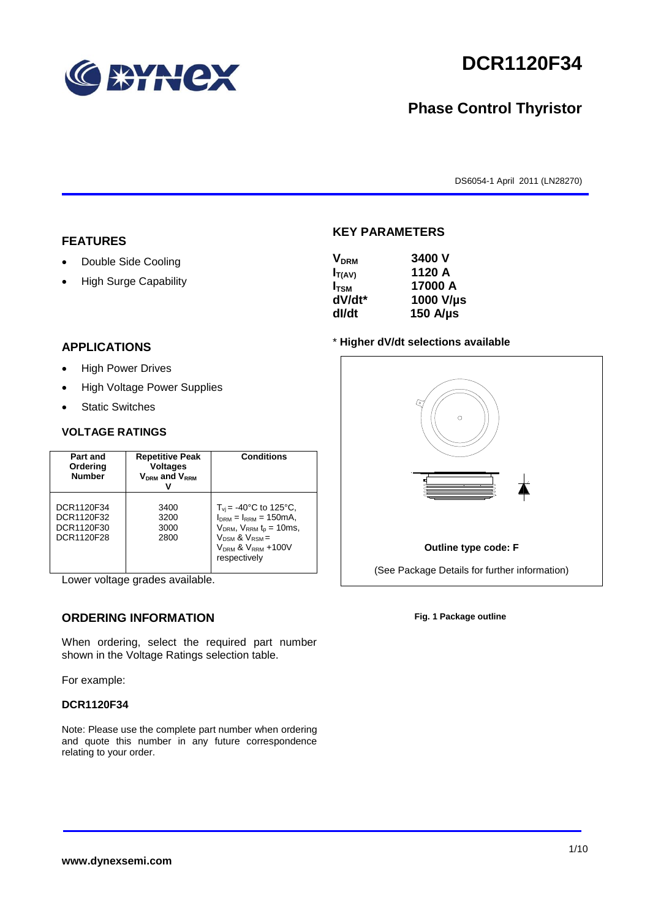

# **DCR1120F34**

# **Phase Control Thyristor**

DS6054-1 April 2011 (LN28270)

### **FEATURES**

- Double Side Cooling
- High Surge Capability

# **KEY PARAMETERS**

| <b>V<sub>DRM</sub></b> | 3400 V        |
|------------------------|---------------|
| $I_{T(AV)}$            | 1120 A        |
| $I_{TSM}$              | 17000 A       |
| dV/dt*                 | 1000 V/µs     |
| dl/dt                  | 150 $A/\mu s$ |

### **APPLICATIONS**

- High Power Drives
- High Voltage Power Supplies
- Static Switches

#### **VOLTAGE RATINGS**

| Part and<br>Ordering<br><b>Number</b>                | <b>Repetitive Peak</b><br><b>Voltages</b><br>$V_{DRM}$ and $V_{RRM}$ | <b>Conditions</b>                                                                                                                                                                    |
|------------------------------------------------------|----------------------------------------------------------------------|--------------------------------------------------------------------------------------------------------------------------------------------------------------------------------------|
| DCR1120F34<br>DCR1120F32<br>DCR1120F30<br>DCR1120F28 | 3400<br>3200<br>3000<br>2800                                         | $T_{vi}$ = -40°C to 125°C,<br>$I_{DRM} = I_{RRM} = 150 \text{mA}$<br>$V_{DRM}$ , $V_{RRM}$ $t_{p}$ = 10ms,<br>$V_{DSM}$ & $V_{RSM}$ =<br>$V_{DRM}$ & $V_{RRM}$ +100V<br>respectively |

Lower voltage grades available.

## **ORDERING INFORMATION**

When ordering, select the required part number shown in the Voltage Ratings selection table.

For example:

#### **DCR1120F34**

Note: Please use the complete part number when ordering and quote this number in any future correspondence relating to your order.

#### \* **Higher dV/dt selections available**



**Fig. 1 Package outline**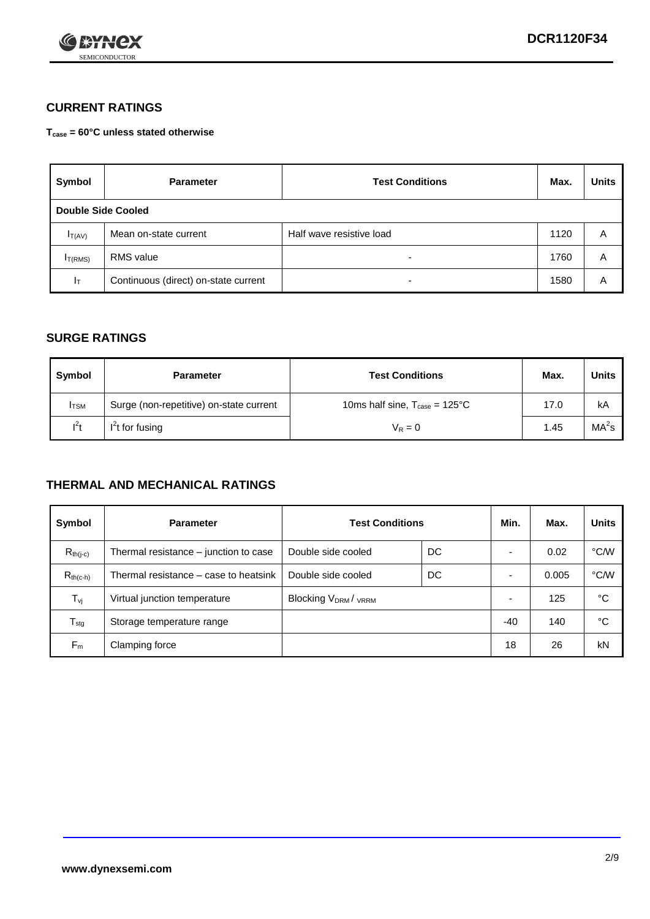

## **CURRENT RATINGS**

**Tcase = 60°C unless stated otherwise**

| Symbol       | <b>Parameter</b>                     | <b>Test Conditions</b>   | Max. | <b>Units</b> |  |  |
|--------------|--------------------------------------|--------------------------|------|--------------|--|--|
|              | Double Side Cooled                   |                          |      |              |  |  |
| $I_{T(AV)}$  | Mean on-state current                | Half wave resistive load | 1120 | A            |  |  |
| $I_{T(RMS)}$ | RMS value                            | $\overline{\phantom{a}}$ | 1760 | Α            |  |  |
| Iт           | Continuous (direct) on-state current | $\overline{\phantom{a}}$ | 1580 | Α            |  |  |

### **SURGE RATINGS**

| Symbol       | <b>Parameter</b>                        | <b>Test Conditions</b>                           | Max. | <b>Units</b>      |
|--------------|-----------------------------------------|--------------------------------------------------|------|-------------------|
| <b>I</b> TSM | Surge (non-repetitive) on-state current | 10ms half sine, $T_{\text{case}} = 125^{\circ}C$ | 17.0 | kA                |
| $l^2t$       | $I2t$ for fusing                        | $V_R = 0$                                        | 1.45 | MA <sup>2</sup> s |

### **THERMAL AND MECHANICAL RATINGS**

| Symbol           | <b>Parameter</b>                      | <b>Test Conditions</b>    |    | Min.  | Max.  | <b>Units</b> |
|------------------|---------------------------------------|---------------------------|----|-------|-------|--------------|
| $R_{th(j-c)}$    | Thermal resistance – junction to case | Double side cooled        | DC |       | 0.02  | °C/W         |
| $R_{th(c-h)}$    | Thermal resistance – case to heatsink | Double side cooled        | DC |       | 0.005 | °C/W         |
| $T_{\nu j}$      | Virtual junction temperature          | <b>Blocking VDRM/VRRM</b> |    |       | 125   | °C           |
| $T_{\text{stg}}$ | Storage temperature range             |                           |    | $-40$ | 140   | °C           |
| $F_m$            | Clamping force                        |                           |    | 18    | 26    | kN           |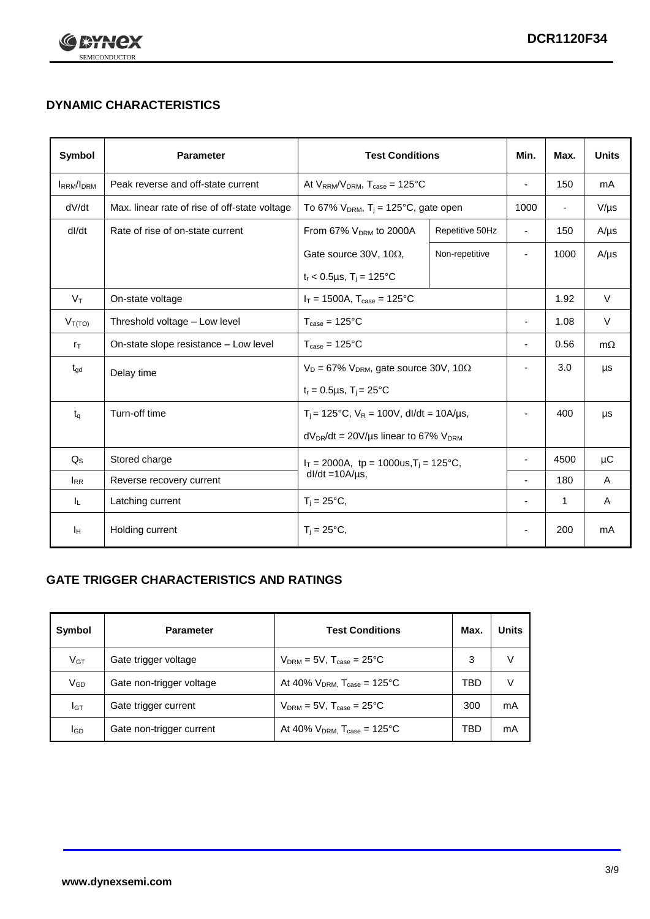

# **DYNAMIC CHARACTERISTICS**

| <b>Symbol</b>     | <b>Parameter</b>                              | <b>Test Conditions</b>                                                | Min.            | Max.                     | <b>Units</b>             |           |
|-------------------|-----------------------------------------------|-----------------------------------------------------------------------|-----------------|--------------------------|--------------------------|-----------|
| <b>IRRM</b> /IDRM | Peak reverse and off-state current            | At $V_{RRM}/V_{DRM}$ , $T_{case} = 125^{\circ}C$                      |                 |                          | 150                      | mA        |
| dV/dt             | Max. linear rate of rise of off-state voltage | To 67% $V_{DRM}$ , T <sub>i</sub> = 125°C, gate open                  |                 | 1000                     | $\overline{\phantom{a}}$ | $V/\mu s$ |
| dl/dt             | Rate of rise of on-state current              | From 67% V <sub>DRM</sub> to 2000A                                    | Repetitive 50Hz | $\overline{\phantom{a}}$ | 150                      | $A/\mu s$ |
|                   |                                               | Gate source 30V, 10 $\Omega$ ,                                        | Non-repetitive  | $\overline{\phantom{a}}$ | 1000                     | $A/\mu s$ |
|                   |                                               | $t_r$ < 0.5µs, T <sub>i</sub> = 125°C                                 |                 |                          |                          |           |
| $V_T$             | On-state voltage                              | $I_T = 1500A$ , $T_{case} = 125^{\circ}C$                             |                 |                          | 1.92                     | $\vee$    |
| $V_{T(TO)}$       | Threshold voltage - Low level                 | $T_{\text{case}} = 125^{\circ}C$                                      |                 | $\blacksquare$           | 1.08                     | $\vee$    |
| $r_{\text{T}}$    | On-state slope resistance - Low level         | $T_{\text{case}} = 125^{\circ}C$                                      |                 | $\blacksquare$           | 0.56                     | $m\Omega$ |
| $t_{\rm gd}$      | Delay time                                    | $V_D = 67\%$ V <sub>DRM</sub> , gate source 30V, 10 $\Omega$          |                 | $\overline{\phantom{a}}$ | 3.0                      | μs        |
|                   |                                               | $t_r = 0.5 \mu s$ , $T_i = 25^{\circ}C$                               |                 |                          |                          |           |
| $t_q$             | Turn-off time                                 | $T_i$ = 125°C, $V_R$ = 100V, dl/dt = 10A/µs,                          |                 | $\overline{\phantom{a}}$ | 400                      | μs        |
|                   |                                               | $dV_{DR}/dt = 20V/\mu s$ linear to 67% $V_{DRM}$                      |                 |                          |                          |           |
| $Q_{\rm S}$       | Stored charge                                 | $I_T = 2000A$ , tp = 1000us, $T_i = 125$ °C,<br>$dl/dt = 10A/\mu s$ , |                 |                          | 4500                     | μC        |
| $I_{RR}$          | Reverse recovery current                      |                                                                       |                 | $\blacksquare$           | 180                      | A         |
| IL.               | Latching current                              | $T_i = 25^{\circ}C$                                                   |                 | $\blacksquare$           | 1                        | Α         |
| Iн                | Holding current                               | $T_i = 25^{\circ}C,$                                                  |                 |                          | 200                      | mA        |

## **GATE TRIGGER CHARACTERISTICS AND RATINGS**

| Symbol          | <b>Parameter</b>         | <b>Test Conditions</b>                | Max. | Units |
|-----------------|--------------------------|---------------------------------------|------|-------|
| V <sub>GT</sub> | Gate trigger voltage     | $V_{DRM}$ = 5V, $T_{case}$ = 25°C     | 3    | V     |
| $V_{GD}$        | Gate non-trigger voltage | At 40% $V_{DRM}$ , $T_{case}$ = 125°C | TBD  | V     |
| Iст             | Gate trigger current     | $V_{DRM}$ = 5V, $T_{case}$ = 25°C     | 300  | mA    |
| <b>I</b> GD     | Gate non-trigger current | At 40% $V_{DRM}$ , $T_{case}$ = 125°C | TBD  | mA    |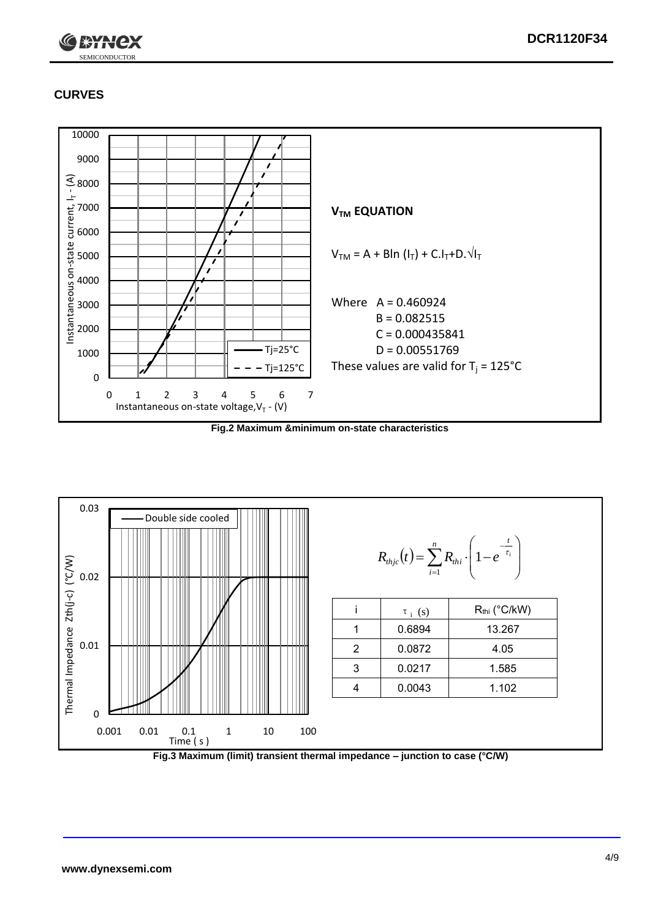

# **CURVES**



**Fig.2 Maximum &minimum on-state characteristics**



**Fig.3 Maximum (limit) transient thermal impedance – junction to case (°C/W)**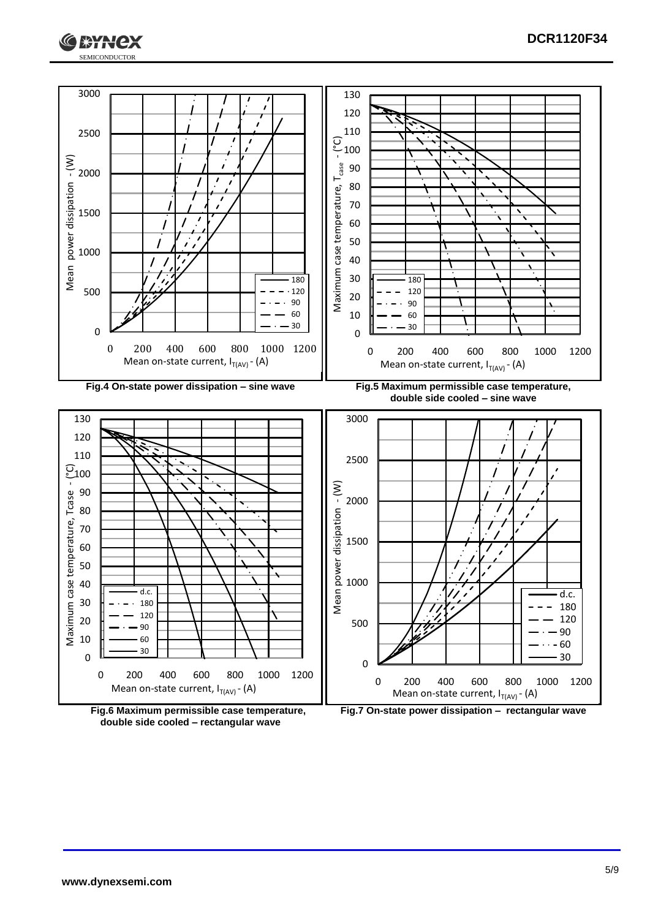



**double side cooled – rectangular wave**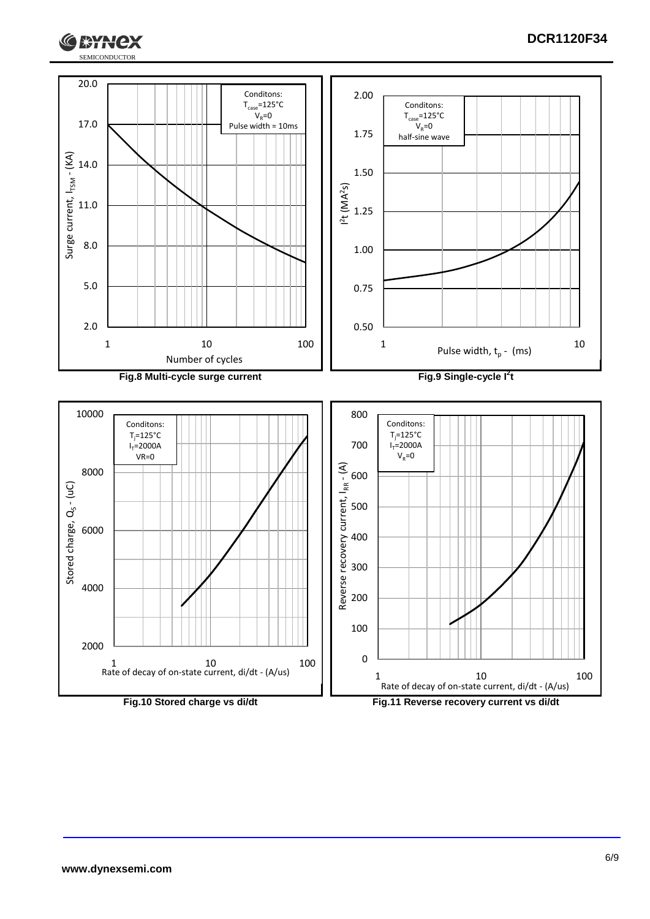

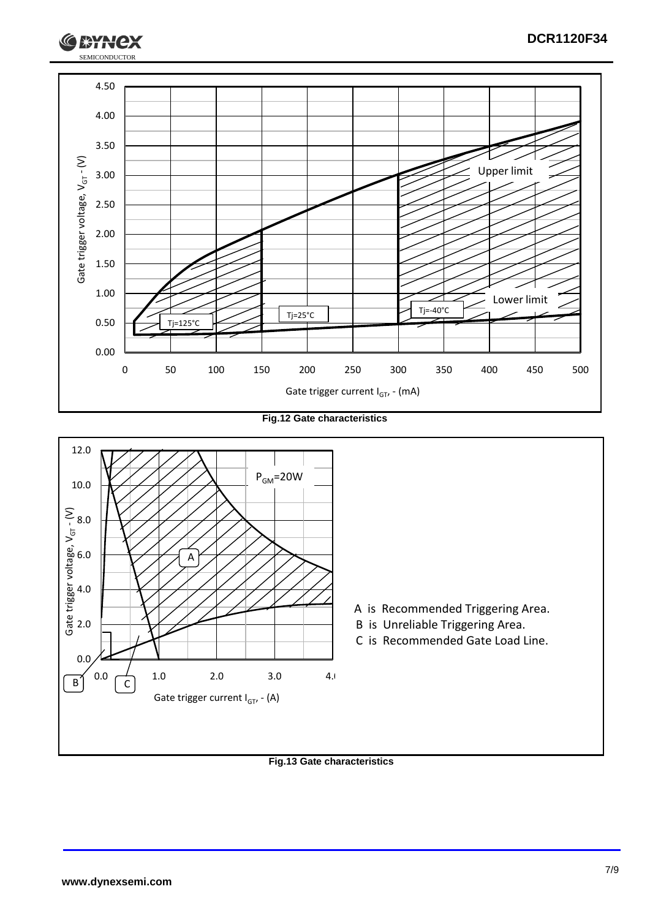

**Fig.12 Gate characteristics**



### **Fig.13 Gate characteristics**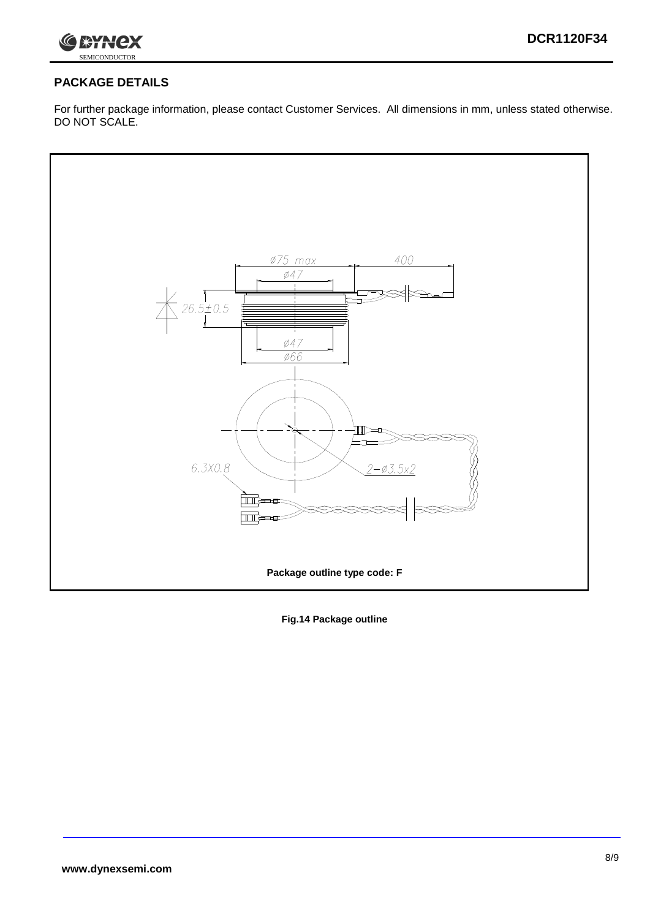

# **PACKAGE DETAILS**

For further package information, please contact Customer Services. All dimensions in mm, unless stated otherwise. DO NOT SCALE.



**Fig.14 Package outline**